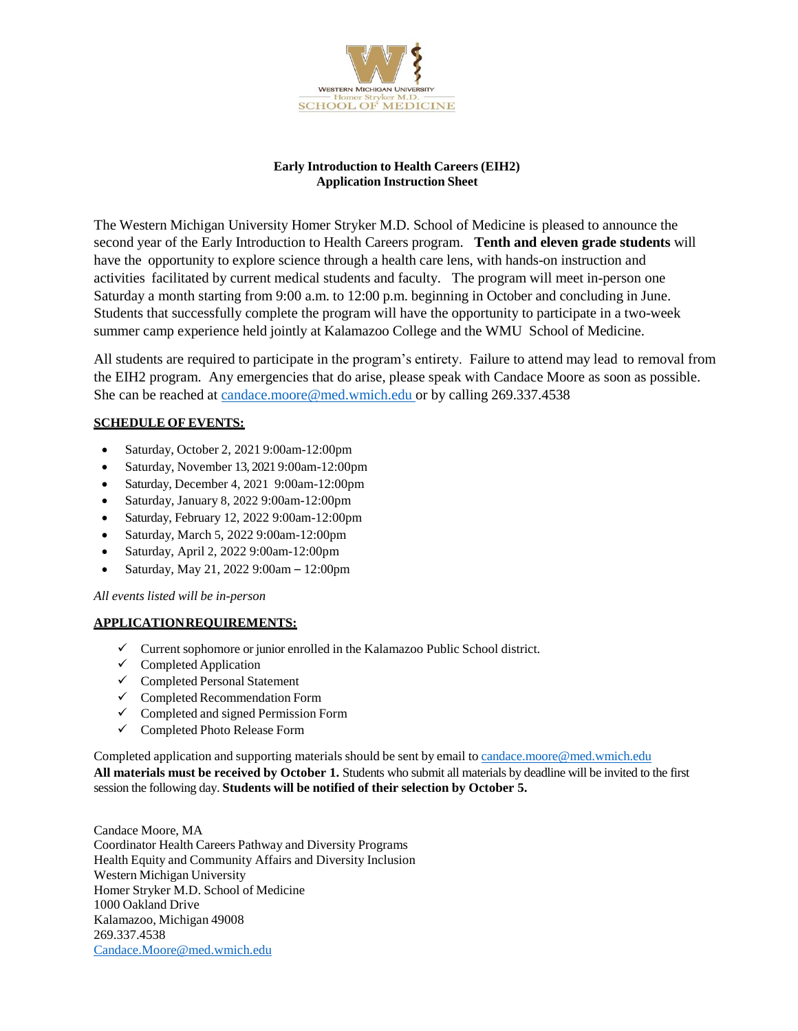

### **Early Introduction to Health Careers (EIH2) Application Instruction Sheet**

The Western Michigan University Homer Stryker M.D. School of Medicine is pleased to announce the second year of the Early Introduction to Health Careers program. **Tenth and eleven grade students** will have the opportunity to explore science through a health care lens, with hands-on instruction and activities facilitated by current medical students and faculty. The program will meet in-person one Saturday a month starting from 9:00 a.m. to 12:00 p.m. beginning in October and concluding in June. Students that successfully complete the program will have the opportunity to participate in a two-week summer camp experience held jointly at Kalamazoo College and the WMU School of Medicine.

All students are required to participate in the program's entirety. Failure to attend may lead to removal from the EIH2 program. Any emergencies that do arise, please speak with Candace Moore as soon as possible. She can be reached at candace.moor[e@med.wmich.edu](mailto:candace.moore@med.wmich.edu) or by calling 269.337.4538

## **SCHEDULE OF EVENTS:**

- Saturday, October 2, 2021 9:00am-12:00pm
- Saturday, November 13, 2021 9:00am-12:00pm
- Saturday, December 4, 2021 9:00am-12:00pm
- Saturday, January 8, 2022 9:00am-12:00pm
- Saturday, February 12, 2022 9:00am-12:00pm
- Saturday, March 5, 2022 9:00am-12:00pm
- Saturday, April 2, 2022 9:00am-12:00pm
- Saturday, May 21, 2022 9:00am 12:00pm

*All events listed will be in-person*

#### **APPLICATIONREQUIREMENTS:**

- $\checkmark$  Current sophomore or junior enrolled in the Kalamazoo Public School district.
- $\checkmark$  Completed Application
- $\checkmark$  Completed Personal Statement
- $\checkmark$  Completed Recommendation Form
- $\checkmark$  Completed and signed Permission Form
- Completed Photo Release Form

Completed application and supporting materials should be sent by email to [candace.moore@med.wmich.edu](mailto:candace.moore@med.wmich.edu) **All materials must be received by October 1.** Students who submit all materials by deadline will be invited to the first session the following day. **Students will be notified of their selection by October 5.**

Candace Moore, MA Coordinator Health Careers Pathway and Diversity Programs Health Equity and Community Affairs and Diversity Inclusion Western Michigan University Homer Stryker M.D. School of Medicine 1000 Oakland Drive Kalamazoo, Michigan 49008 [269.337.4538](mailto:Candace.Moore@med.wmich.edu) [Candace.Moore@med.wmich.edu](mailto:Candace.Moore@med.wmich.edu)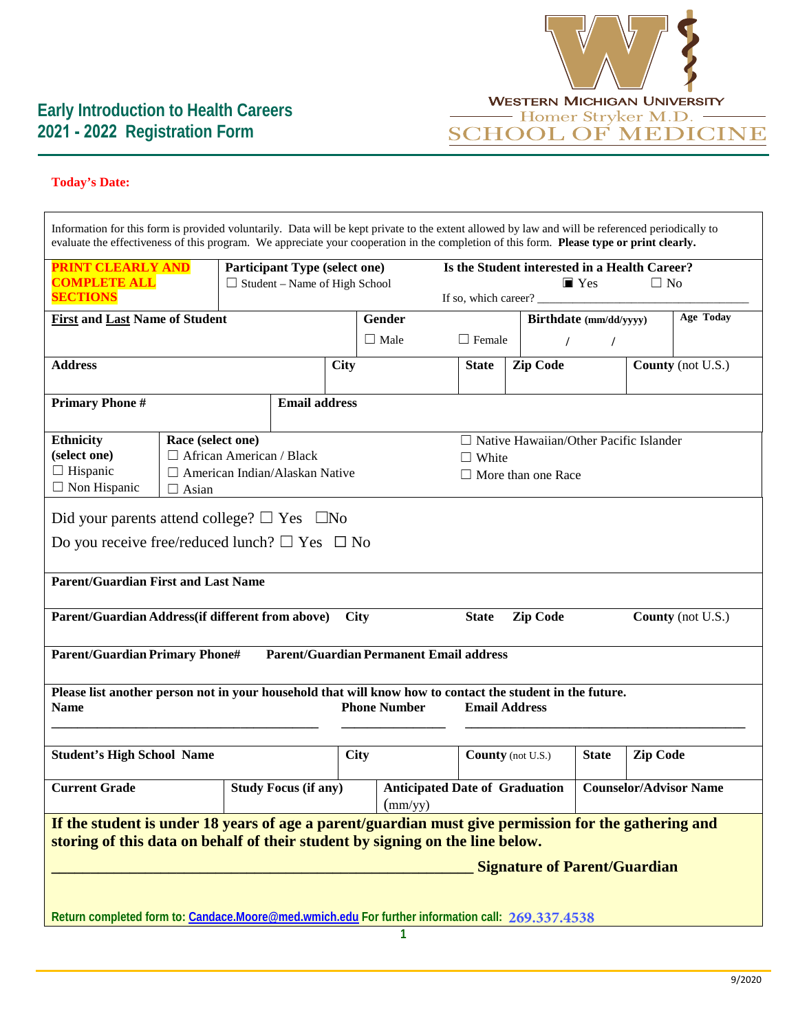

# **Today's Date:**

| Information for this form is provided voluntarily. Data will be kept private to the extent allowed by law and will be referenced periodically to<br>evaluate the effectiveness of this program. We appreciate your cooperation in the completion of this form. Please type or print clearly. |                                                                                                                         |  |                                                           |                                                                                            |                                                                                                          |                          |              |                 |                   |  |
|----------------------------------------------------------------------------------------------------------------------------------------------------------------------------------------------------------------------------------------------------------------------------------------------|-------------------------------------------------------------------------------------------------------------------------|--|-----------------------------------------------------------|--------------------------------------------------------------------------------------------|----------------------------------------------------------------------------------------------------------|--------------------------|--------------|-----------------|-------------------|--|
| <b>PRINT CLEARLY AND</b><br><b>Participant Type (select one)</b><br><b>COMPLETE ALL</b><br>$\Box$ Student – Name of High School<br><b>SECTIONS</b>                                                                                                                                           |                                                                                                                         |  |                                                           |                                                                                            | Is the Student interested in a Health Career?<br>$\blacksquare$ Yes<br>$\Box$ No<br>If so, which career? |                          |              |                 |                   |  |
| <b>First and Last Name of Student</b>                                                                                                                                                                                                                                                        |                                                                                                                         |  |                                                           | Gender                                                                                     | Birthdate (mm/dd/yyyy)                                                                                   |                          | Age Today    |                 |                   |  |
|                                                                                                                                                                                                                                                                                              |                                                                                                                         |  |                                                           | $\Box$ Male                                                                                | $\Box$ Female                                                                                            | $\prime$                 | $\prime$     |                 |                   |  |
| <b>Address</b>                                                                                                                                                                                                                                                                               |                                                                                                                         |  | <b>City</b>                                               |                                                                                            | <b>State</b>                                                                                             | <b>Zip Code</b>          |              |                 | County (not U.S.) |  |
| <b>Primary Phone #</b>                                                                                                                                                                                                                                                                       |                                                                                                                         |  |                                                           | <b>Email address</b>                                                                       |                                                                                                          |                          |              |                 |                   |  |
| Race (select one)<br><b>Ethnicity</b><br>(select one)<br>$\Box$ African American / Black<br>$\Box$ Hispanic<br>$\Box$ American Indian/Alaskan Native<br>$\Box$ Non Hispanic<br>$\Box$ Asian                                                                                                  |                                                                                                                         |  |                                                           | $\Box$ Native Hawaiian/Other Pacific Islander<br>$\Box$ White<br>$\Box$ More than one Race |                                                                                                          |                          |              |                 |                   |  |
| Did your parents attend college? $\square$ Yes $\square$ No<br>Do you receive free/reduced lunch? $\Box$ Yes $\Box$ No<br><b>Parent/Guardian First and Last Name</b>                                                                                                                         |                                                                                                                         |  |                                                           |                                                                                            |                                                                                                          |                          |              |                 |                   |  |
|                                                                                                                                                                                                                                                                                              | Parent/Guardian Address(if different from above)<br><b>Zip Code</b><br>County (not U.S.)<br><b>State</b><br><b>City</b> |  |                                                           |                                                                                            |                                                                                                          |                          |              |                 |                   |  |
| <b>Parent/Guardian Primary Phone#</b>                                                                                                                                                                                                                                                        |                                                                                                                         |  |                                                           |                                                                                            | <b>Parent/Guardian Permanent Email address</b>                                                           |                          |              |                 |                   |  |
| Please list another person not in your household that will know how to contact the student in the future.<br><b>Phone Number</b><br><b>Email Address</b><br><b>Name</b>                                                                                                                      |                                                                                                                         |  |                                                           |                                                                                            |                                                                                                          |                          |              |                 |                   |  |
| <b>Student's High School Name</b>                                                                                                                                                                                                                                                            |                                                                                                                         |  | <b>City</b>                                               |                                                                                            |                                                                                                          | <b>County</b> (not U.S.) | <b>State</b> | <b>Zip Code</b> |                   |  |
| <b>Current Grade</b><br><b>Study Focus (if any)</b>                                                                                                                                                                                                                                          |                                                                                                                         |  | <b>Anticipated Date of Graduation</b><br>$\text{(mm/yy)}$ |                                                                                            | <b>Counselor/Advisor Name</b>                                                                            |                          |              |                 |                   |  |
| If the student is under 18 years of age a parent/guardian must give permission for the gathering and<br>storing of this data on behalf of their student by signing on the line below.<br><b>Signature of Parent/Guardian</b>                                                                 |                                                                                                                         |  |                                                           |                                                                                            |                                                                                                          |                          |              |                 |                   |  |
| Return completed form to: Candace.Moore@med.wmich.edu For further information call: 269.337.4538                                                                                                                                                                                             |                                                                                                                         |  |                                                           |                                                                                            |                                                                                                          |                          |              |                 |                   |  |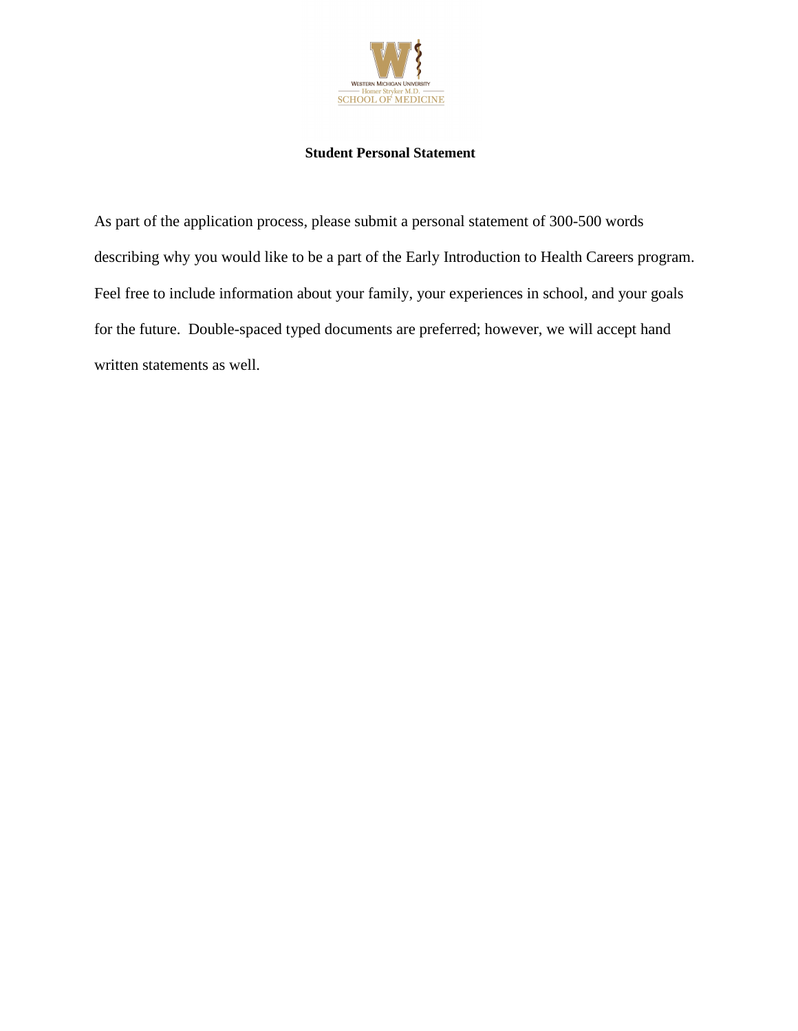

## **Student Personal Statement**

As part of the application process, please submit a personal statement of 300-500 words describing why you would like to be a part of the Early Introduction to Health Careers program. Feel free to include information about your family, your experiences in school, and your goals for the future. Double-spaced typed documents are preferred; however, we will accept hand written statements as well.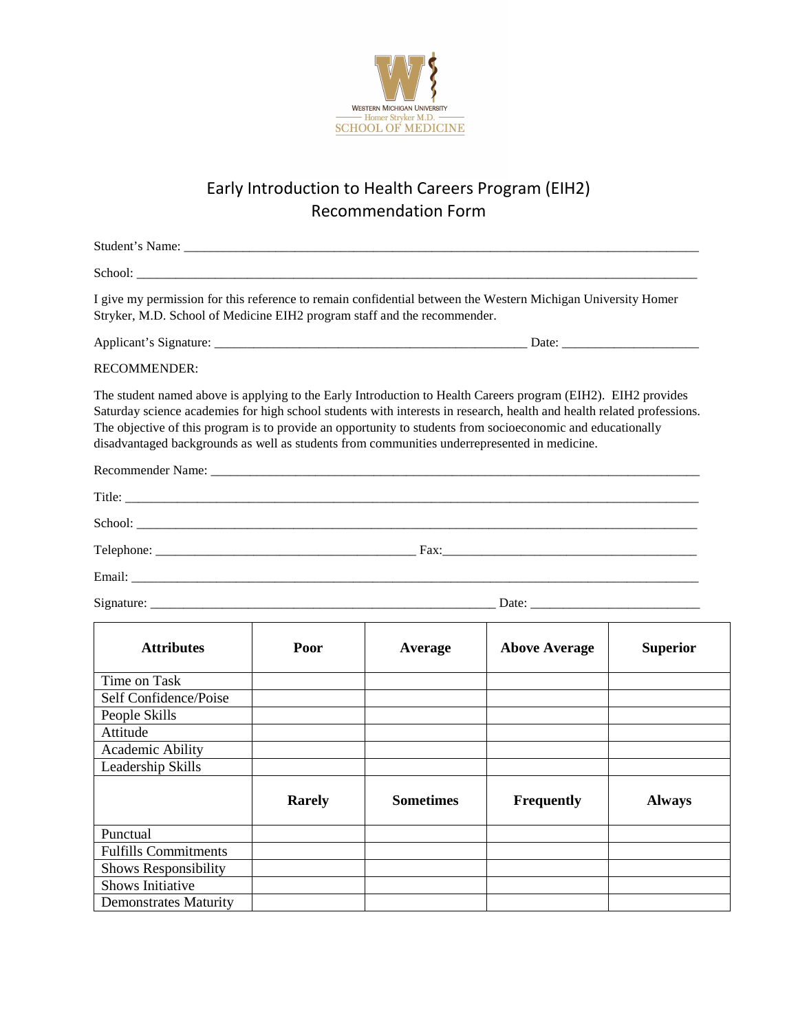

# Early Introduction to Health Careers Program (EIH2) Recommendation Form

| I give my permission for this reference to remain confidential between the Western Michigan University Homer<br>Stryker, M.D. School of Medicine EIH2 program staff and the recommender.                                                                                                                                                                                                                                                               |               |                  |                      |                 |
|--------------------------------------------------------------------------------------------------------------------------------------------------------------------------------------------------------------------------------------------------------------------------------------------------------------------------------------------------------------------------------------------------------------------------------------------------------|---------------|------------------|----------------------|-----------------|
|                                                                                                                                                                                                                                                                                                                                                                                                                                                        |               |                  |                      |                 |
| <b>RECOMMENDER:</b>                                                                                                                                                                                                                                                                                                                                                                                                                                    |               |                  |                      |                 |
| The student named above is applying to the Early Introduction to Health Careers program (EIH2). EIH2 provides<br>Saturday science academies for high school students with interests in research, health and health related professions.<br>The objective of this program is to provide an opportunity to students from socioeconomic and educationally<br>disadvantaged backgrounds as well as students from communities underrepresented in medicine. |               |                  |                      |                 |
|                                                                                                                                                                                                                                                                                                                                                                                                                                                        |               |                  |                      |                 |
|                                                                                                                                                                                                                                                                                                                                                                                                                                                        |               |                  |                      |                 |
|                                                                                                                                                                                                                                                                                                                                                                                                                                                        |               |                  |                      |                 |
|                                                                                                                                                                                                                                                                                                                                                                                                                                                        |               |                  |                      |                 |
| Email: The contract of the contract of the contract of the contract of the contract of the contract of the contract of the contract of the contract of the contract of the contract of the contract of the contract of the con                                                                                                                                                                                                                         |               |                  |                      |                 |
| Signature: Date: Date:                                                                                                                                                                                                                                                                                                                                                                                                                                 |               |                  |                      |                 |
| <b>Attributes</b>                                                                                                                                                                                                                                                                                                                                                                                                                                      | Poor          | Average          | <b>Above Average</b> | <b>Superior</b> |
| Time on Task                                                                                                                                                                                                                                                                                                                                                                                                                                           |               |                  |                      |                 |
| Self Confidence/Poise                                                                                                                                                                                                                                                                                                                                                                                                                                  |               |                  |                      |                 |
| People Skills                                                                                                                                                                                                                                                                                                                                                                                                                                          |               |                  |                      |                 |
| Attitude                                                                                                                                                                                                                                                                                                                                                                                                                                               |               |                  |                      |                 |
| <b>Academic Ability</b>                                                                                                                                                                                                                                                                                                                                                                                                                                |               |                  |                      |                 |
| Leadership Skills                                                                                                                                                                                                                                                                                                                                                                                                                                      |               |                  |                      |                 |
|                                                                                                                                                                                                                                                                                                                                                                                                                                                        | <b>Rarely</b> | <b>Sometimes</b> | <b>Frequently</b>    | <b>Always</b>   |
| Punctual                                                                                                                                                                                                                                                                                                                                                                                                                                               |               |                  |                      |                 |
| <b>Fulfills Commitments</b>                                                                                                                                                                                                                                                                                                                                                                                                                            |               |                  |                      |                 |
| <b>Shows Responsibility</b>                                                                                                                                                                                                                                                                                                                                                                                                                            |               |                  |                      |                 |
| <b>Shows Initiative</b>                                                                                                                                                                                                                                                                                                                                                                                                                                |               |                  |                      |                 |
| <b>Demonstrates Maturity</b>                                                                                                                                                                                                                                                                                                                                                                                                                           |               |                  |                      |                 |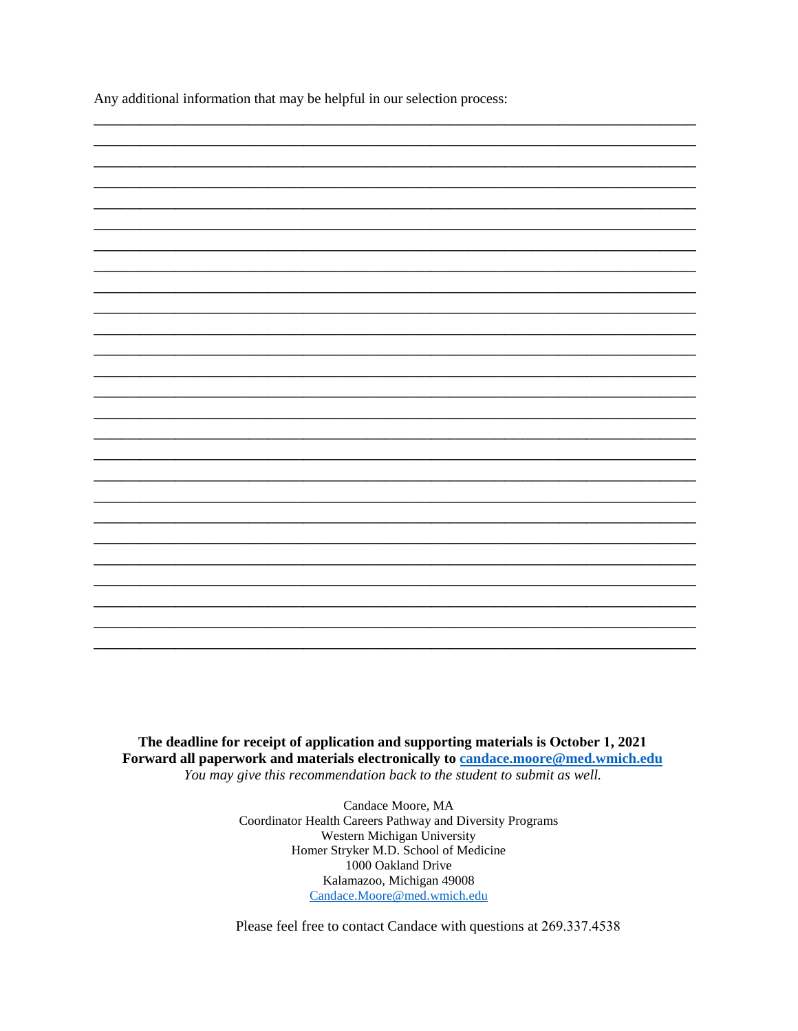Any additional information that may be helpful in our selection process:

The deadline for receipt of application and supporting materials is October 1, 2021 Forward all paperwork and materials electronically to candace.moore@med.wmich.edu You may give this recommendation back to the student to submit as well.

> Candace Moore, MA Coordinator Health Careers Pathway and Diversity Programs Western Michigan University Homer Stryker M.D. School of Medicine 1000 Oakland Drive Kalamazoo, Michigan 49008 Candace.Moore@med.wmich.edu

Please feel free to contact Candace with questions at 269.337.4538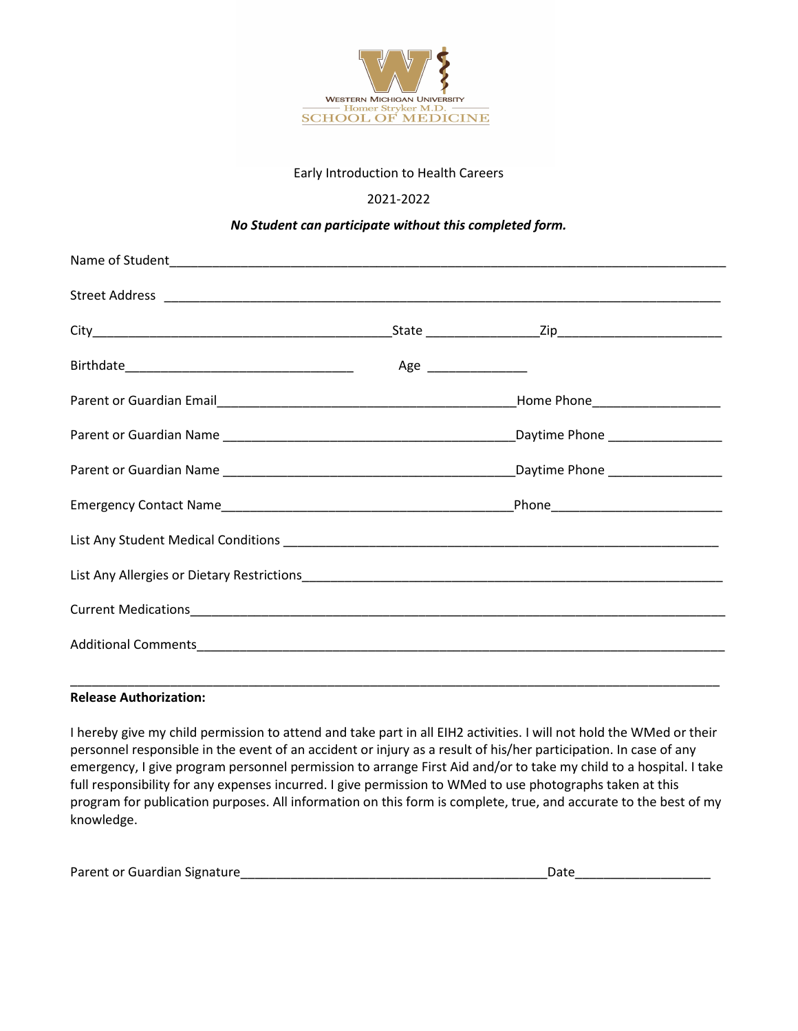

## Early Introduction to Health Careers

## 2021-2022

## *No Student can participate without this completed form.*

#### **Release Authorization:**

I hereby give my child permission to attend and take part in all EIH2 activities. I will not hold the WMed or their personnel responsible in the event of an accident or injury as a result of his/her participation. In case of any emergency, I give program personnel permission to arrange First Aid and/or to take my child to a hospital. I take full responsibility for any expenses incurred. I give permission to WMed to use photographs taken at this program for publication purposes. All information on this form is complete, true, and accurate to the best of my knowledge.

| Parent or Guardian Signature |  |
|------------------------------|--|
|                              |  |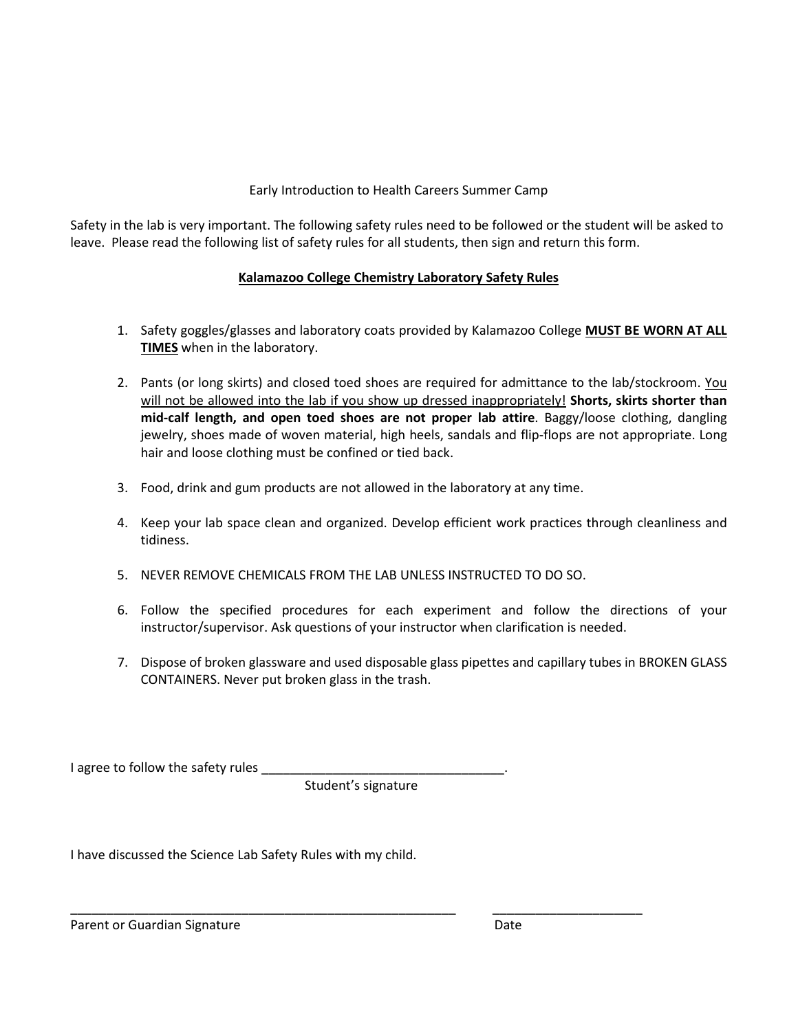## Early Introduction to Health Careers Summer Camp

Safety in the lab is very important. The following safety rules need to be followed or the student will be asked to leave. Please read the following list of safety rules for all students, then sign and return this form.

# **Kalamazoo College Chemistry Laboratory Safety Rules**

- 1. Safety goggles/glasses and laboratory coats provided by Kalamazoo College **MUST BE WORN AT ALL TIMES** when in the laboratory.
- 2. Pants (or long skirts) and closed toed shoes are required for admittance to the lab/stockroom. You will not be allowed into the lab if you show up dressed inappropriately! **Shorts, skirts shorter than mid-calf length, and open toed shoes are not proper lab attire**. Baggy/loose clothing, dangling jewelry, shoes made of woven material, high heels, sandals and flip-flops are not appropriate. Long hair and loose clothing must be confined or tied back.
- 3. Food, drink and gum products are not allowed in the laboratory at any time.
- 4. Keep your lab space clean and organized. Develop efficient work practices through cleanliness and tidiness.
- 5. NEVER REMOVE CHEMICALS FROM THE LAB UNLESS INSTRUCTED TO DO SO.
- 6. Follow the specified procedures for each experiment and follow the directions of your instructor/supervisor. Ask questions of your instructor when clarification is needed.
- 7. Dispose of broken glassware and used disposable glass pipettes and capillary tubes in BROKEN GLASS CONTAINERS. Never put broken glass in the trash.

I agree to follow the safety rules

Student's signature

\_\_\_\_\_\_\_\_\_\_\_\_\_\_\_\_\_\_\_\_\_\_\_\_\_\_\_\_\_\_\_\_\_\_\_\_\_\_\_\_\_\_\_\_\_\_\_\_\_\_\_\_\_\_ \_\_\_\_\_\_\_\_\_\_\_\_\_\_\_\_\_\_\_\_\_

I have discussed the Science Lab Safety Rules with my child.

Parent or Guardian Signature **Date** Date